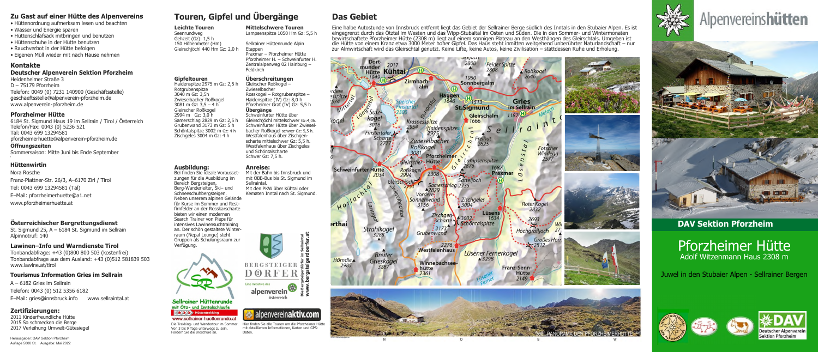# Zu Gast auf einer Hütte des Alpenvereins

- · Hüttenordnung aufmerksam lesen und beachten
- Wasser und Energie sparen
- · Hüttenschlafsack mitbringen und benutzen
- · Hüttenschuhe in der Hütte benutzen
- · Rauchverbot in der Hütte befolgen
- · Eigenen Müll wieder mit nach Hause nehmen

# **Kontakte**

### **Deutscher Alpenverein Sektion Pforzheim**

Heidenheimer Straße 3  $D - 75179$  Pforzheim Telefon: 0049 (0) 7231 140900 (Geschäftsstelle) geschaeftsstelle@alpenverein-pforzheim.de www.alpenverein-pforzheim.de

### **Pforzheimer Hütte**

6184 St. Sigmund Haus 19 im Sellrain / Tirol / Österreich Telefon/Fax: 0043 (0) 5236 521 Tal: 0043 699 13294581 pforzheimerhuette@alpenverein-pforzheim.de

Öffnungszeiten

Sommersaison: Mitte Juni bis Ende September

# **Hüttenwirtin**

Nora Rosche Franz-Plattner-Str. 26/3, A-6170 Zirl / Tirol Tel: 0043 699 13294581 (Tal) E-Mail: pforzheimerhuette@a1.net www.pforzheimerhuette.at

# Österreichischer Bergrettungsdienst

St. Sigmund 25, A - 6184 St. Sigmund im Sellrain Alpinnotruf: 140

# Lawinen-Info und Warndienste Tirol

Tonbandabfrage: +43 (0)800 800 503 (kostenfrei) Tonbandabfrage aus dem Ausland: +43 (0)512 581839 503 www.lawine.at/tirol

# **Tourismus Information Gries im Sellrain**

 $A - 6182$  Gries im Sellrain Telefon: 0043 (0) 512 5356 6182 www.sellraintal.at E-Mail: gries@innsbruck.info

# Zertifizierungen:

2011 Kinderfreundliche Hütte 2015 So schmecken die Berge 2017 Verleihung Umwelt-Gütesiegel

# Touren, Gipfel und Übergänge

**Mittelschwere Touren** 

Sellrainer Hüttenrunde Alpin

Überschreitungen

Rosskogel - Rotgrubenspitze -

Pforzheimer Grat (IV) Gz: 5,5 h

Gleirschiöchl mittelschwer Gz:4.0h.

Schweinfurter Hütte über Zwiesel-

bacher Roßkogel schwer Gz: 5,5 h.

Westfalenhaus über Zischgen-

scharte mittelschwer Gz: 5,5 h.

Westfalenhaus über Zischgeles

und Schöntalscharte

Schwer Gz: 7.5 h.

**Anreise:** 

Haidenspitze (IV) Gz: 8,0 h

Schweinfurter Hütte über

Gleirscher Roßkogel -

Etappen

Feldkirch

Zwieselbacher

Übergänge

Lampsenspitze 1050 Hm Gz: 5.5 h

### **Leichte Touren**

Seenrundweg Gehzeit (Gz): 1,5 h 150 Höhenmeter (Hm) Gleirschjöchl 440 Hm Gz: 2,0 h

#### Praxmar - Pforzheimer Hütte Pforzheimer H. - Schweinfurter H. Zentralalpenweg 02 Hainburg -

#### **Gipfeltouren**

Haidenspitze 2975 m Gz: 2,5 h Rotgrubenspitze 3040 m Gz: 3,5h Zwieselbacher Roßkogel 3081 m Gz: 3,5 – 4 h<br>Gleirscher Roßkogel 2994 m Gz: 3,0 h Samerschlag 2829 m Gz: 2.5 h Grubenwand 3173 m Gz: 5 h Schöntalspitze 3002 m Gz: 4 h Zischgeles 3004 m Gz: 4 h

#### Ausbildung:

Bei finden Sie ideale Voraussetzungen für die Ausbildung im Bereich Bergsteigen Berg-Wanderleiter, Ski- und Schneeschuhbergsteigen. Neben unserem alpinen Gelände für Kurse im Sommer und Restfirnfelder an der Rosskarscharte bieten wir einen modernen Search Trainer von Pieps für intensives Lawinensuchtraining an. Der schön gestaltete Winterraum (Nepal Lounge) steht Gruppen als Schulungsraum zur Verfügung.





alpenvereinaktiv.com

Hier finden Sie alle Touren um die Pforzheimer Hütte

mit detaillierten Informationen, Karten und GPS-

Daten



www.sellrainer-huettenrunde.at Die Trekking- und Wandertour im Sommer.

Von 3 bis 9 Tage unterwegs zu sein. Fordern Sie die Broschüre an.

# **Das Gebiet**

Eine halbe Autostunde von Innsbruck entfernt liegt das Gebiet der Sellrainer Berge südlich des Inntals in den Stubaier Alpen. Es ist eingegrenzt durch das Ötztal im Westen und das Wipp-Stubaital im Osten und Süden. Die in bewirtschaftete Pforzheimer Hütte (2308 m) liegt auf einem sonnigen Plateau an den Westhängen des Gleirschtals. Umgeben ist<br>die Hütte von einem Kranz etwa 3000 Meter hoher Gipfel. Das Haus steht inmitten weitgehend unberüh zur Almwirtschaft wird das Gleirschtal genutzt. Keine Lifte, keine Autos, keine Zivilisation – stattdessen Ruhe und Erholung.





Herausgeber: DAV Sektion Pforzheim Auflage 5000 St. Ausgabe: Mai 2022

















# **DAV Sektion Pforzheim**

# Pforzheimer Hütte Adolf Witzenmann Haus 2308 m

Juwel in den Stubaier Alpen - Sellrainer Bergen